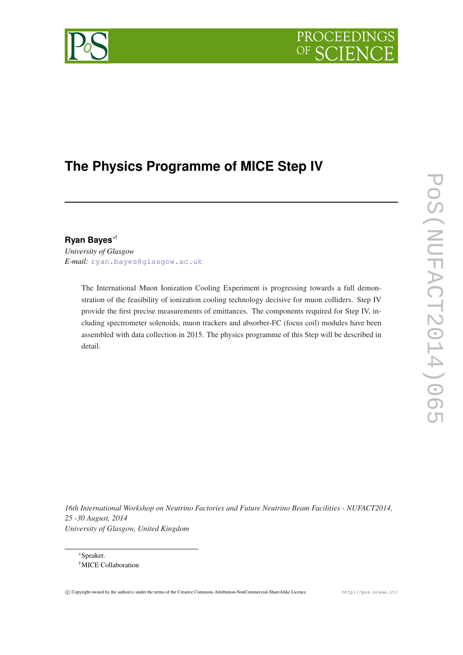# PROCEEDING



## **The Physics Programme of MICE Step IV**

### **Ryan Bayes**∗†

*University of Glasgow E-mail:* [ryan.bayes@glasgow.ac.uk](mailto:ryan.bayes@glasgow.ac.uk)

> The International Muon Ionization Cooling Experiment is progressing towards a full demonstration of the feasibility of ionization cooling technology decisive for muon colliders. Step IV provide the first precise measurements of emittances. The components required for Step IV, including spectrometer solenoids, muon trackers and absorber-FC (focus coil) modules have been assembled with data collection in 2015. The physics programme of this Step will be described in detail.

*16th International Workshop on Neutrino Factories and Future Neutrino Beam Facilities - NUFACT2014, 25 -30 August, 2014 University of Glasgow, United Kingdom*

<sup>∗</sup>Speaker. †MICE Collaboration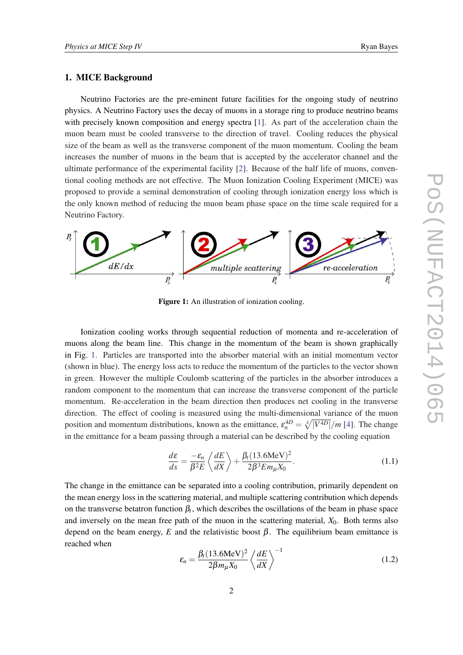#### 1. MICE Background

Neutrino Factories are the pre-eminent future facilities for the ongoing study of neutrino physics. A Neutrino Factory uses the decay of muons in a storage ring to produce neutrino beams with precisely known composition and energy spectra [[1](#page-6-0)]. As part of the acceleration chain the muon beam must be cooled transverse to the direction of travel. Cooling reduces the physical size of the beam as well as the transverse component of the muon momentum. Cooling the beam increases the number of muons in the beam that is accepted by the accelerator channel and the ultimate performance of the experimental facility [\[2\]](#page-6-0). Because of the half life of muons, conventional cooling methods are not effective. The Muon Ionization Cooling Experiment (MICE) was proposed to provide a seminal demonstration of cooling through ionization energy loss which is the only known method of reducing the muon beam phase space on the time scale required for a Neutrino Factory.



Figure 1: An illustration of ionization cooling.

Ionization cooling works through sequential reduction of momenta and re-acceleration of muons along the beam line. This change in the momentum of the beam is shown graphically in Fig. 1. Particles are transported into the absorber material with an initial momentum vector (shown in blue). The energy loss acts to reduce the momentum of the particles to the vector shown in green. However the multiple Coulomb scattering of the particles in the absorber introduces a random component to the momentum that can increase the transverse component of the particle momentum. Re-acceleration in the beam direction then produces net cooling in the transverse direction. The effect of cooling is measured using the multi-dimensional variance of the muon position and momentum distributions, known as the emittance,  $\varepsilon_n^{4D} = \sqrt[4]{|V^{4D}|}/m$  $\varepsilon_n^{4D} = \sqrt[4]{|V^{4D}|}/m$  $\varepsilon_n^{4D} = \sqrt[4]{|V^{4D}|}/m$  [4]. The change in the emittance for a beam passing through a material can be described by the cooling equation

$$
\frac{d\varepsilon}{ds} = \frac{-\varepsilon_n}{\beta^2 E} \left\langle \frac{dE}{dX} \right\rangle + \frac{\beta_t (13.6 \text{MeV})^2}{2\beta^3 E m_\mu X_0}.
$$
\n(1.1)

The change in the emittance can be separated into a cooling contribution, primarily dependent on the mean energy loss in the scattering material, and multiple scattering contribution which depends on the transverse betatron function  $\beta_t$ , which describes the oscillations of the beam in phase space and inversely on the mean free path of the muon in the scattering material, *X*0. Both terms also depend on the beam energy,  $E$  and the relativistic boost  $\beta$ . The equilibrium beam emittance is reached when

$$
\varepsilon_n = \frac{\beta_t (13.6 \text{MeV})^2}{2\beta m_\mu X_0} \left\langle \frac{dE}{dX} \right\rangle^{-1} \tag{1.2}
$$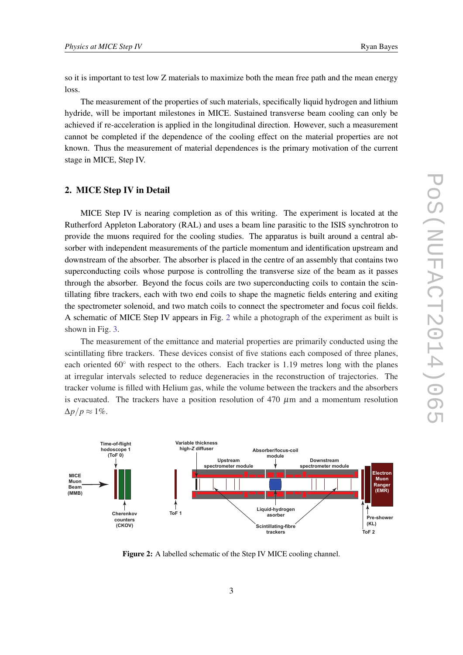so it is important to test low Z materials to maximize both the mean free path and the mean energy loss.

The measurement of the properties of such materials, specifically liquid hydrogen and lithium hydride, will be important milestones in MICE. Sustained transverse beam cooling can only be achieved if re-acceleration is applied in the longitudinal direction. However, such a measurement cannot be completed if the dependence of the cooling effect on the material properties are not known. Thus the measurement of material dependences is the primary motivation of the current stage in MICE, Step IV.

#### 2. MICE Step IV in Detail

MICE Step IV is nearing completion as of this writing. The experiment is located at the Rutherford Appleton Laboratory (RAL) and uses a beam line parasitic to the ISIS synchrotron to provide the muons required for the cooling studies. The apparatus is built around a central absorber with independent measurements of the particle momentum and identification upstream and downstream of the absorber. The absorber is placed in the centre of an assembly that contains two superconducting coils whose purpose is controlling the transverse size of the beam as it passes through the absorber. Beyond the focus coils are two superconducting coils to contain the scintillating fibre trackers, each with two end coils to shape the magnetic fields entering and exiting the spectrometer solenoid, and two match coils to connect the spectrometer and focus coil fields. A schematic of MICE Step IV appears in Fig. 2 while a photograph of the experiment as built is shown in Fig. [3.](#page-3-0)

The measurement of the emittance and material properties are primarily conducted using the scintillating fibre trackers. These devices consist of five stations each composed of three planes, each oriented 60◦ with respect to the others. Each tracker is 1.19 metres long with the planes at irregular intervals selected to reduce degeneracies in the reconstruction of trajectories. The tracker volume is filled with Helium gas, while the volume between the trackers and the absorbers is evacuated. The trackers have a position resolution of 470  $\mu$ m and a momentum resolution  $\Delta p/p \approx 1\%$ .



Figure 2: A labelled schematic of the Step IV MICE cooling channel.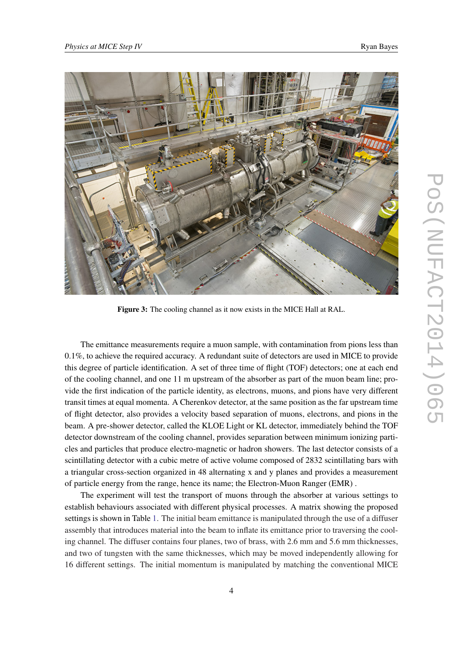

<span id="page-3-0"></span>

Figure 3: The cooling channel as it now exists in the MICE Hall at RAL.

The emittance measurements require a muon sample, with contamination from pions less than 0.1%, to achieve the required accuracy. A redundant suite of detectors are used in MICE to provide this degree of particle identification. A set of three time of flight (TOF) detectors; one at each end of the cooling channel, and one 11 m upstream of the absorber as part of the muon beam line; provide the first indication of the particle identity, as electrons, muons, and pions have very different transit times at equal momenta. A Cherenkov detector, at the same position as the far upstream time of flight detector, also provides a velocity based separation of muons, electrons, and pions in the beam. A pre-shower detector, called the KLOE Light or KL detector, immediately behind the TOF detector downstream of the cooling channel, provides separation between minimum ionizing particles and particles that produce electro-magnetic or hadron showers. The last detector consists of a scintillating detector with a cubic metre of active volume composed of 2832 scintillating bars with a triangular cross-section organized in 48 alternating x and y planes and provides a measurement of particle energy from the range, hence its name; the Electron-Muon Ranger (EMR) .

The experiment will test the transport of muons through the absorber at various settings to establish behaviours associated with different physical processes. A matrix showing the proposed settings is shown in Table [1.](#page-4-0) The initial beam emittance is manipulated through the use of a diffuser assembly that introduces material into the beam to inflate its emittance prior to traversing the cooling channel. The diffuser contains four planes, two of brass, with 2.6 mm and 5.6 mm thicknesses, and two of tungsten with the same thicknesses, which may be moved independently allowing for 16 different settings. The initial momentum is manipulated by matching the conventional MICE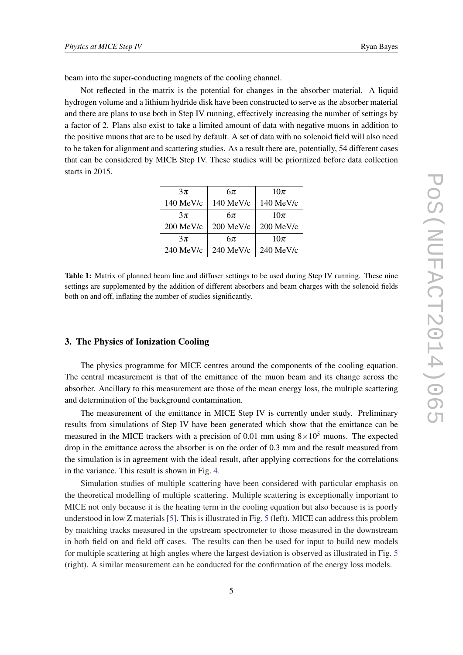<span id="page-4-0"></span>beam into the super-conducting magnets of the cooling channel.

Not reflected in the matrix is the potential for changes in the absorber material. A liquid hydrogen volume and a lithium hydride disk have been constructed to serve as the absorber material and there are plans to use both in Step IV running, effectively increasing the number of settings by a factor of 2. Plans also exist to take a limited amount of data with negative muons in addition to the positive muons that are to be used by default. A set of data with no solenoid field will also need to be taken for alignment and scattering studies. As a result there are, potentially, 54 different cases that can be considered by MICE Step IV. These studies will be prioritized before data collection starts in 2015.

| $3\pi$    | $6\pi$      | $10\pi$   |
|-----------|-------------|-----------|
| 140 MeV/c | 140 MeV/c   | 140 MeV/c |
| $3\pi$    | $6\pi$      | $10\pi$   |
| 200 MeV/c | $200$ MeV/c | 200 MeV/c |
| $3\pi$    | $6\pi$      | $10\pi$   |
| 240 MeV/c | 240 MeV/c   | 240 MeV/c |

Table 1: Matrix of planned beam line and diffuser settings to be used during Step IV running. These nine settings are supplemented by the addition of different absorbers and beam charges with the solenoid fields both on and off, inflating the number of studies significantly.

#### 3. The Physics of Ionization Cooling

The physics programme for MICE centres around the components of the cooling equation. The central measurement is that of the emittance of the muon beam and its change across the absorber. Ancillary to this measurement are those of the mean energy loss, the multiple scattering and determination of the background contamination.

The measurement of the emittance in MICE Step IV is currently under study. Preliminary results from simulations of Step IV have been generated which show that the emittance can be measured in the MICE trackers with a precision of 0.01 mm using  $8 \times 10^5$  muons. The expected drop in the emittance across the absorber is on the order of 0.3 mm and the result measured from the simulation is in agreement with the ideal result, after applying corrections for the correlations in the variance. This result is shown in Fig. [4](#page-5-0).

Simulation studies of multiple scattering have been considered with particular emphasis on the theoretical modelling of multiple scattering. Multiple scattering is exceptionally important to MICE not only because it is the heating term in the cooling equation but also because is is poorly understood in low Z materials [[5](#page-6-0)]. This is illustrated in Fig. [5](#page-5-0) (left). MICE can address this problem by matching tracks measured in the upstream spectrometer to those measured in the downstream in both field on and field off cases. The results can then be used for input to build new models for multiple scattering at high angles where the largest deviation is observed as illustrated in Fig. [5](#page-5-0) (right). A similar measurement can be conducted for the confirmation of the energy loss models.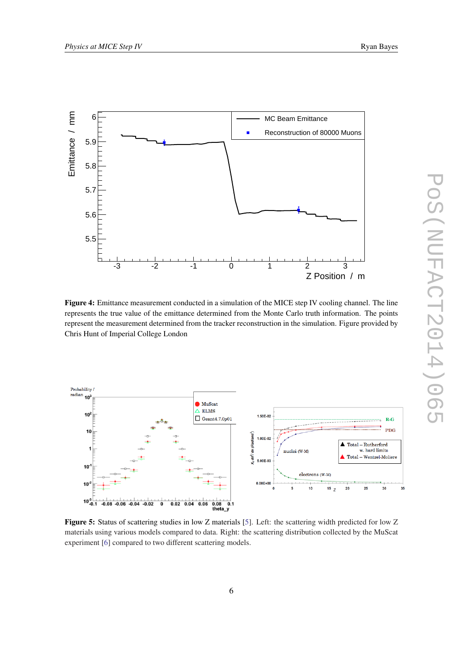<span id="page-5-0"></span>

Figure 4: Emittance measurement conducted in a simulation of the MICE step IV cooling channel. The line represents the true value of the emittance determined from the Monte Carlo truth information. The points represent the measurement determined from the tracker reconstruction in the simulation. Figure provided by Chris Hunt of Imperial College London



Figure 5: Status of scattering studies in low Z materials [\[5](#page-6-0)]. Left: the scattering width predicted for low Z materials using various models compared to data. Right: the scattering distribution collected by the MuScat experiment [[6\]](#page-6-0) compared to two different scattering models.